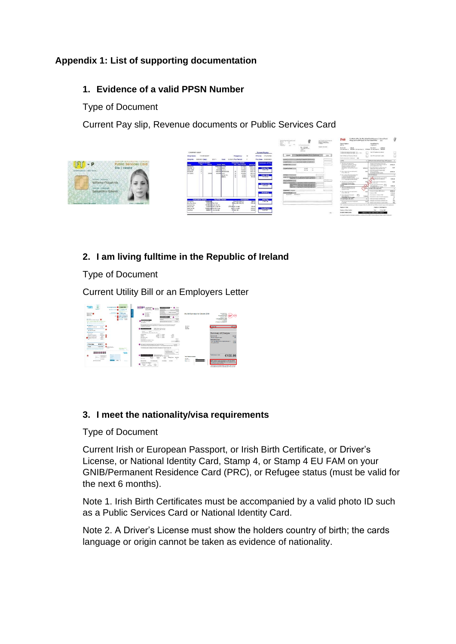# **Appendix 1: List of supporting documentation**

## **1. Evidence of a valid PPSN Number**

Type of Document

Current Pay slip, Revenue documents or Public Services Card



# **2. I am living fulltime in the Republic of Ireland**

### Type of Document

Current Utility Bill or an Employers Letter



### **3. I meet the nationality/visa requirements**

Type of Document

Current Irish or European Passport, or Irish Birth Certificate, or Driver's License, or National Identity Card, Stamp 4, or Stamp 4 EU FAM on your GNIB/Permanent Residence Card (PRC), or Refugee status (must be valid for the next 6 months).

Note 1. Irish Birth Certificates must be accompanied by a valid photo ID such as a Public Services Card or National Identity Card.

Note 2. A Driver's License must show the holders country of birth; the cards language or origin cannot be taken as evidence of nationality.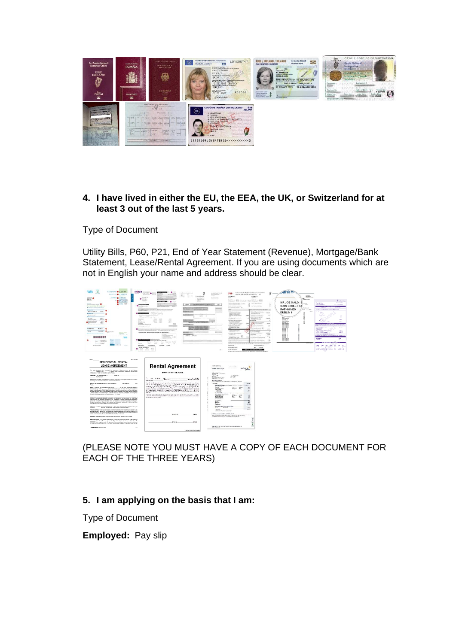

#### **4. I have lived in either the EU, the EEA, the UK, or Switzerland for at least 3 out of the last 5 years.**

Type of Document

Utility Bills, P60, P21, End of Year Statement (Revenue), Mortgage/Bank Statement, Lease/Rental Agreement. If you are using documents which are not in English your name and address should be clear.



# (PLEASE NOTE YOU MUST HAVE A COPY OF EACH DOCUMENT FOR EACH OF THE THREE YEARS)

# **5. I am applying on the basis that I am:**

Type of Document

**Employed:** Pay slip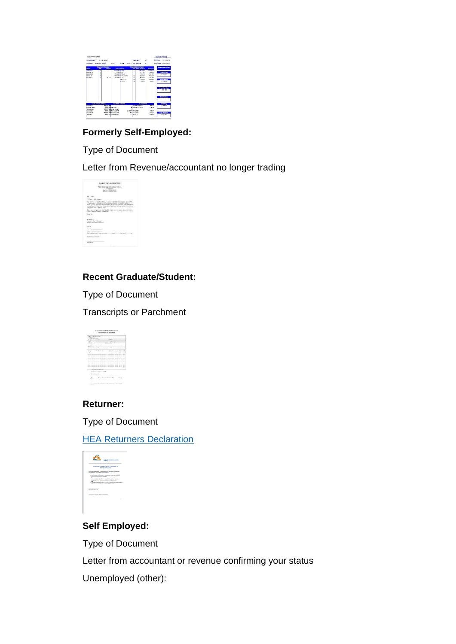

# **Formerly Self-Employed:**

## Type of Document

Letter from Revenue/accountant no longer trading



# **Recent Graduate/Student:**

Type of Document

Transcripts or Parchment



### **Returner:**

Type of Document

### **[HEA Returners Declaration](https://springboardcourses.ie/pdfs/Declaration%20for%20Returners%20(2021-22).pdf)**



# **Self Employed:**

Type of Document

Letter from accountant or revenue confirming your status

Unemployed (other):